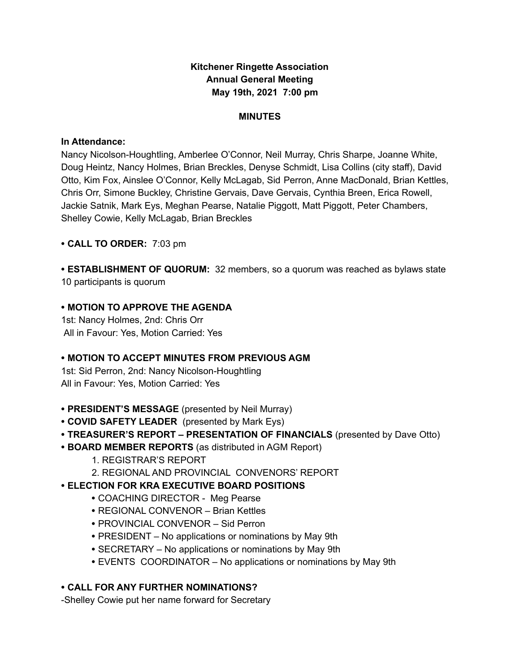# **Kitchener Ringette Association Annual General Meeting May 19th, 2021 7:00 pm**

### **MINUTES**

## **In Attendance:**

Nancy Nicolson-Houghtling, Amberlee O'Connor, Neil Murray, Chris Sharpe, Joanne White, Doug Heintz, Nancy Holmes, Brian Breckles, Denyse Schmidt, Lisa Collins (city staff), David Otto, Kim Fox, Ainslee O'Connor, Kelly McLagab, Sid Perron, Anne MacDonald, Brian Kettles, Chris Orr, Simone Buckley, Christine Gervais, Dave Gervais, Cynthia Breen, Erica Rowell, Jackie Satnik, Mark Eys, Meghan Pearse, Natalie Piggott, Matt Piggott, Peter Chambers, Shelley Cowie, Kelly McLagab, Brian Breckles

⦁ **CALL TO ORDER:** 7:03 pm

⦁ **ESTABLISHMENT OF QUORUM:** 32 members, so a quorum was reached as bylaws state 10 participants is quorum

## ⦁ **MOTION TO APPROVE THE AGENDA**

1st: Nancy Holmes, 2nd: Chris Orr All in Favour: Yes, Motion Carried: Yes

## ⦁ **MOTION TO ACCEPT MINUTES FROM PREVIOUS AGM**

1st: Sid Perron, 2nd: Nancy Nicolson-Houghtling All in Favour: Yes, Motion Carried: Yes

- ⦁ **PRESIDENT'S MESSAGE** (presented by Neil Murray)
- ⦁ **COVID SAFETY LEADER** (presented by Mark Eys)
- ⦁ **TREASURER'S REPORT – PRESENTATION OF FINANCIALS** (presented by Dave Otto)
- ⦁ **BOARD MEMBER REPORTS** (as distributed in AGM Report)
	- 1. REGISTRAR'S REPORT
	- 2. REGIONAL AND PROVINCIAL CONVENORS' REPORT

# ⦁ **ELECTION FOR KRA EXECUTIVE BOARD POSITIONS**

- ⦁ COACHING DIRECTOR Meg Pearse
- ⦁ REGIONAL CONVENOR Brian Kettles
- ⦁ PROVINCIAL CONVENOR Sid Perron
- ⦁ PRESIDENT No applications or nominations by May 9th
- ⦁ SECRETARY No applications or nominations by May 9th
- ⦁ EVENTS COORDINATOR No applications or nominations by May 9th

## ⦁ **CALL FOR ANY FURTHER NOMINATIONS?**

-Shelley Cowie put her name forward for Secretary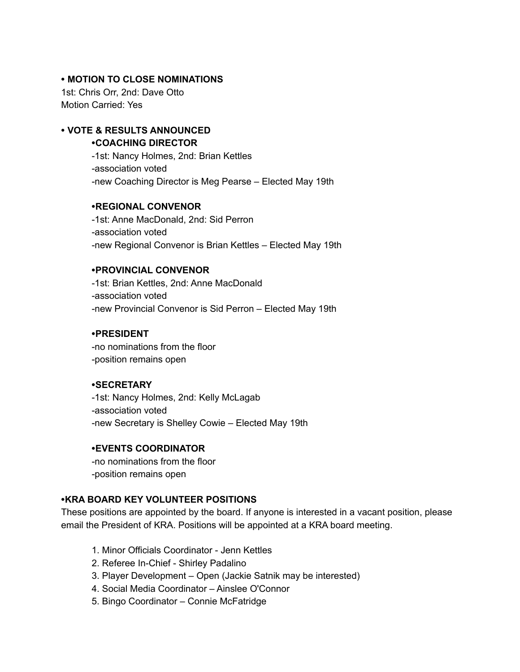## ⦁ **MOTION TO CLOSE NOMINATIONS**

1st: Chris Orr, 2nd: Dave Otto Motion Carried: Yes

## ⦁ **VOTE & RESULTS ANNOUNCED**

⦁**COACHING DIRECTOR**

-1st: Nancy Holmes, 2nd: Brian Kettles -association voted -new Coaching Director is Meg Pearse – Elected May 19th

### ⦁**REGIONAL CONVENOR**

-1st: Anne MacDonald, 2nd: Sid Perron -association voted -new Regional Convenor is Brian Kettles – Elected May 19th

#### ⦁**PROVINCIAL CONVENOR**

-1st: Brian Kettles, 2nd: Anne MacDonald -association voted -new Provincial Convenor is Sid Perron – Elected May 19th

#### ⦁**PRESIDENT**

-no nominations from the floor -position remains open

#### ⦁**SECRETARY**

-1st: Nancy Holmes, 2nd: Kelly McLagab -association voted -new Secretary is Shelley Cowie – Elected May 19th

#### ⦁**EVENTS COORDINATOR**

-no nominations from the floor -position remains open

### ⦁**KRA BOARD KEY VOLUNTEER POSITIONS**

These positions are appointed by the board. If anyone is interested in a vacant position, please email the President of KRA. Positions will be appointed at a KRA board meeting.

- 1. Minor Officials Coordinator Jenn Kettles
- 2. Referee In-Chief Shirley Padalino
- 3. Player Development Open (Jackie Satnik may be interested)
- 4. Social Media Coordinator Ainslee O'Connor
- 5. Bingo Coordinator Connie McFatridge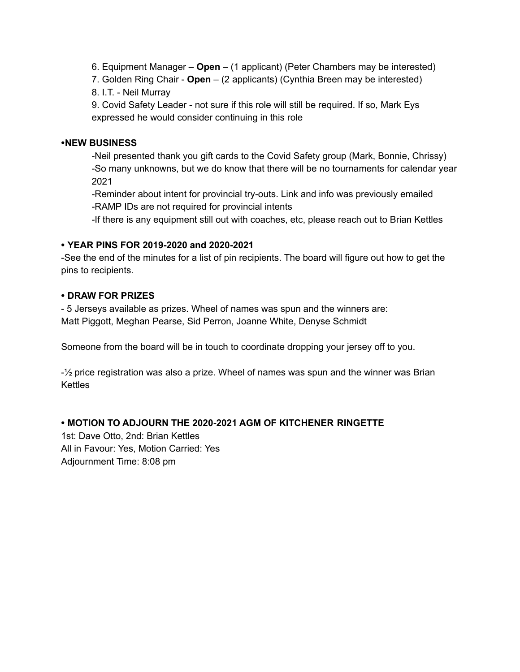6. Equipment Manager – **Open** – (1 applicant) (Peter Chambers may be interested)

7. Golden Ring Chair - **Open** – (2 applicants) (Cynthia Breen may be interested)

8. I.T. - Neil Murray

9. Covid Safety Leader - not sure if this role will still be required. If so, Mark Eys expressed he would consider continuing in this role

## ⦁**NEW BUSINESS**

-Neil presented thank you gift cards to the Covid Safety group (Mark, Bonnie, Chrissy) -So many unknowns, but we do know that there will be no tournaments for calendar year 2021

-Reminder about intent for provincial try-outs. Link and info was previously emailed -RAMP IDs are not required for provincial intents

-If there is any equipment still out with coaches, etc, please reach out to Brian Kettles

## ⦁ **YEAR PINS FOR 2019-2020 and 2020-2021**

-See the end of the minutes for a list of pin recipients. The board will figure out how to get the pins to recipients.

## ⦁ **DRAW FOR PRIZES**

- 5 Jerseys available as prizes. Wheel of names was spun and the winners are: Matt Piggott, Meghan Pearse, Sid Perron, Joanne White, Denyse Schmidt

Someone from the board will be in touch to coordinate dropping your jersey off to you.

-½ price registration was also a prize. Wheel of names was spun and the winner was Brian Kettles

## ⦁ **MOTION TO ADJOURN THE 2020-2021 AGM OF KITCHENER RINGETTE**

1st: Dave Otto, 2nd: Brian Kettles All in Favour: Yes, Motion Carried: Yes Adjournment Time: 8:08 pm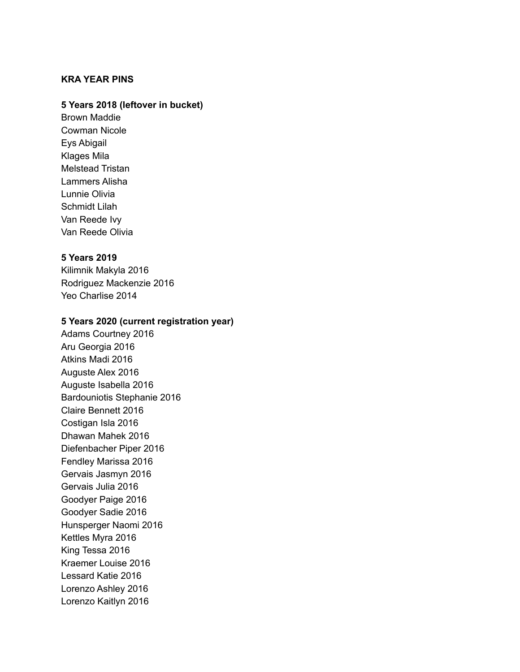### **KRA YEAR PINS**

#### **5 Years 2018 (leftover in bucket)**

Brown Maddie Cowman Nicole Eys Abigail Klages Mila Melstead Tristan Lammers Alisha Lunnie Olivia Schmidt Lilah Van Reede Ivy Van Reede Olivia

#### **5 Years 2019**

Kilimnik Makyla 2016 Rodriguez Mackenzie 2016 Yeo Charlise 2014

#### **5 Years 2020 (current registration year)**

Adams Courtney 2016 Aru Georgia 2016 Atkins Madi 2016 Auguste Alex 2016 Auguste Isabella 2016 Bardouniotis Stephanie 2016 Claire Bennett 2016 Costigan Isla 2016 Dhawan Mahek 2016 Diefenbacher Piper 2016 Fendley Marissa 2016 Gervais Jasmyn 2016 Gervais Julia 2016 Goodyer Paige 2016 Goodyer Sadie 2016 Hunsperger Naomi 2016 Kettles Myra 2016 King Tessa 2016 Kraemer Louise 2016 Lessard Katie 2016 Lorenzo Ashley 2016 Lorenzo Kaitlyn 2016